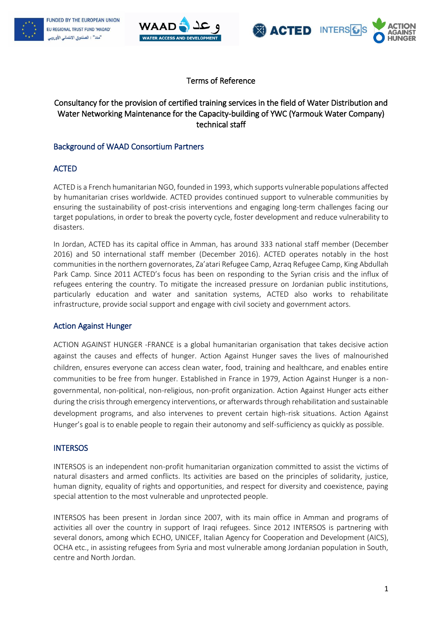





## Terms of Reference

# Consultancy for the provision of certified training services in the field of Water Distribution and Water Networking Maintenance for the Capacity-building of YWC (Yarmouk Water Company) technical staff

## Background of WAAD Consortium Partners

## ACTED

ACTED is a French humanitarian NGO, founded in 1993, which supports vulnerable populations affected by humanitarian crises worldwide. ACTED provides continued support to vulnerable communities by ensuring the sustainability of post-crisis interventions and engaging long-term challenges facing our target populations, in order to break the poverty cycle, foster development and reduce vulnerability to disasters.

In Jordan, ACTED has its capital office in Amman, has around 333 national staff member (December 2016) and 50 international staff member (December 2016). ACTED operates notably in the host communities in the northern governorates, Za'atari Refugee Camp, Azraq Refugee Camp, King Abdullah Park Camp. Since 2011 ACTED's focus has been on responding to the Syrian crisis and the influx of refugees entering the country. To mitigate the increased pressure on Jordanian public institutions, particularly education and water and sanitation systems, ACTED also works to rehabilitate infrastructure, provide social support and engage with civil society and government actors.

#### Action Against Hunger

ACTION AGAINST HUNGER -FRANCE is a global humanitarian organisation that takes decisive action against the causes and effects of hunger. Action Against Hunger saves the lives of malnourished children, ensures everyone can access clean water, food, training and healthcare, and enables entire communities to be free from hunger. Established in France in 1979, Action Against Hunger is a nongovernmental, non-political, non-religious, non-profit organization. Action Against Hunger acts either during the crisis through emergency interventions, or afterwards through rehabilitation and sustainable development programs, and also intervenes to prevent certain high-risk situations. Action Against Hunger's goal is to enable people to regain their autonomy and self-sufficiency as quickly as possible.

#### **INTERSOS**

INTERSOS is an independent non-profit humanitarian organization committed to assist the victims of natural disasters and armed conflicts. Its activities are based on the principles of solidarity, justice, human dignity, equality of rights and opportunities, and respect for diversity and coexistence, paying special attention to the most vulnerable and unprotected people.

INTERSOS has been present in Jordan since 2007, with its main office in Amman and programs of activities all over the country in support of Iraqi refugees. Since 2012 INTERSOS is partnering with several donors, among which ECHO, UNICEF, Italian Agency for Cooperation and Development (AICS), OCHA etc., in assisting refugees from Syria and most vulnerable among Jordanian population in South, centre and North Jordan.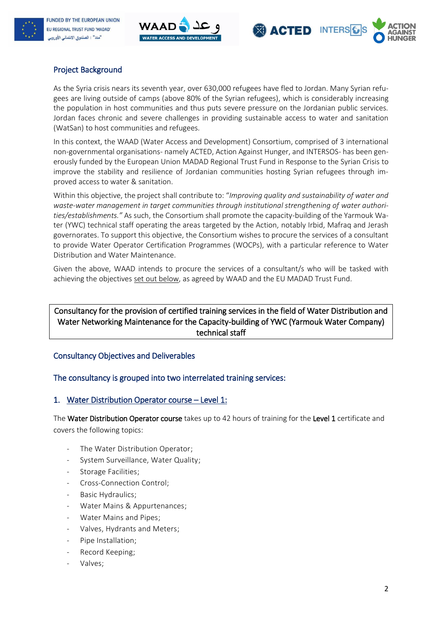





# Project Background

As the Syria crisis nears its seventh year, over 630,000 refugees have fled to Jordan. Many Syrian refugees are living outside of camps (above 80% of the Syrian refugees), which is considerably increasing the population in host communities and thus puts severe pressure on the Jordanian public services. Jordan faces chronic and severe challenges in providing sustainable access to water and sanitation (WatSan) to host communities and refugees.

In this context, the WAAD (Water Access and Development) Consortium, comprised of 3 international non-governmental organisations- namely ACTED, Action Against Hunger, and INTERSOS- has been generously funded by the European Union MADAD Regional Trust Fund in Response to the Syrian Crisis to improve the stability and resilience of Jordanian communities hosting Syrian refugees through improved access to water & sanitation.

Within this objective, the project shall contribute to: "*Improving quality and sustainability of water and waste-water management in target communities through institutional strengthening of water authorities/establishments."* As such, the Consortium shall promote the capacity-building of the Yarmouk Water (YWC) technical staff operating the areas targeted by the Action, notably Irbid, Mafraq and Jerash governorates. To support this objective, the Consortium wishes to procure the services of a consultant to provide Water Operator Certification Programmes (WOCPs), with a particular reference to Water Distribution and Water Maintenance.

Given the above, WAAD intends to procure the services of a consultant/s who will be tasked with achieving the objectives set out below, as agreed by WAAD and the EU MADAD Trust Fund.

## Consultancy for the provision of certified training services in the field of Water Distribution and Water Networking Maintenance for the Capacity-building of YWC (Yarmouk Water Company) technical staff

## Consultancy Objectives and Deliverables

## The consultancy is grouped into two interrelated training services:

#### 1. Water Distribution Operator course – Level 1:

The Water Distribution Operator course takes up to 42 hours of training for the Level 1 certificate and covers the following topics:

- The Water Distribution Operator;
- System Surveillance, Water Quality;
- Storage Facilities;
- Cross-Connection Control;
- Basic Hydraulics:
- Water Mains & Appurtenances;
- Water Mains and Pipes;
- Valves, Hydrants and Meters;
- Pipe Installation;
- Record Keeping;
- Valves;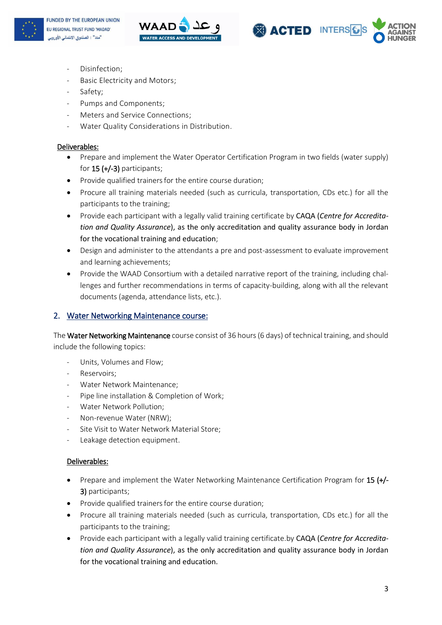





- Disinfection;
- Basic Electricity and Motors;
- Safety;
- Pumps and Components;
- Meters and Service Connections;
- Water Quality Considerations in Distribution.

#### Deliverables:

- Prepare and implement the Water Operator Certification Program in two fields (water supply) for 15 (+/-3) participants;
- Provide qualified trainers for the entire course duration;
- Procure all training materials needed (such as curricula, transportation, CDs etc.) for all the participants to the training;
- Provide each participant with a legally valid training certificate by CAQA (*Centre for Accreditation and Quality Assurance*), as the only accreditation and quality assurance body in Jordan for the vocational training and education;
- Design and administer to the attendants a pre and post-assessment to evaluate improvement and learning achievements;
- Provide the WAAD Consortium with a detailed narrative report of the training, including challenges and further recommendations in terms of capacity-building, along with all the relevant documents (agenda, attendance lists, etc.).

#### 2. Water Networking Maintenance course:

The Water Networking Maintenance course consist of 36 hours (6 days) of technical training, and should include the following topics:

- Units, Volumes and Flow;
- Reservoirs;
- Water Network Maintenance;
- Pipe line installation & Completion of Work;
- Water Network Pollution;
- Non-revenue Water (NRW);
- Site Visit to Water Network Material Store;
- Leakage detection equipment.

#### Deliverables:

- Prepare and implement the Water Networking Maintenance Certification Program for 15 (+/-3) participants;
- Provide qualified trainers for the entire course duration;
- Procure all training materials needed (such as curricula, transportation, CDs etc.) for all the participants to the training;
- Provide each participant with a legally valid training certificate.by CAQA (*Centre for Accreditation and Quality Assurance*), as the only accreditation and quality assurance body in Jordan for the vocational training and education.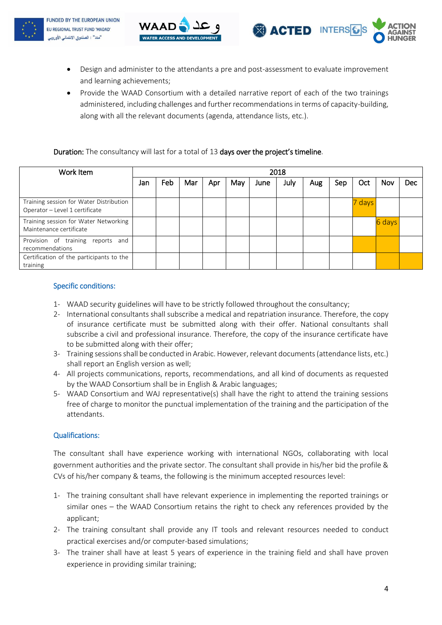





- Design and administer to the attendants a pre and post-assessment to evaluate improvement and learning achievements;
- Provide the WAAD Consortium with a detailed narrative report of each of the two trainings administered, including challenges and further recommendations in terms of capacity-building, along with all the relevant documents (agenda, attendance lists, etc.).

#### Duration: The consultancy will last for a total of 13 days over the project's timeline.

| Work Item                                                                 | 2018 |     |     |     |     |      |      |     |     |        |        |     |
|---------------------------------------------------------------------------|------|-----|-----|-----|-----|------|------|-----|-----|--------|--------|-----|
|                                                                           | Jan  | Feb | Mar | Apr | May | June | July | Aug | Sep | Oct    | Nov    | Dec |
| Training session for Water Distribution<br>Operator - Level 1 certificate |      |     |     |     |     |      |      |     |     | 7 days |        |     |
| Training session for Water Networking<br>Maintenance certificate          |      |     |     |     |     |      |      |     |     |        | 6 days |     |
| Provision of training<br>reports and<br>recommendations                   |      |     |     |     |     |      |      |     |     |        |        |     |
| Certification of the participants to the<br>training                      |      |     |     |     |     |      |      |     |     |        |        |     |

### Specific conditions:

- 1- WAAD security guidelines will have to be strictly followed throughout the consultancy;
- 2- International consultants shall subscribe a medical and repatriation insurance. Therefore, the copy of insurance certificate must be submitted along with their offer. National consultants shall subscribe a civil and professional insurance. Therefore, the copy of the insurance certificate have to be submitted along with their offer;
- 3- Training sessions shall be conducted in Arabic. However, relevant documents (attendance lists, etc.) shall report an English version as well;
- 4- All projects communications, reports, recommendations, and all kind of documents as requested by the WAAD Consortium shall be in English & Arabic languages;
- 5- WAAD Consortium and WAJ representative(s) shall have the right to attend the training sessions free of charge to monitor the punctual implementation of the training and the participation of the attendants.

#### Qualifications:

The consultant shall have experience working with international NGOs, collaborating with local government authorities and the private sector. The consultant shall provide in his/her bid the profile & CVs of his/her company & teams, the following is the minimum accepted resources level:

- 1- The training consultant shall have relevant experience in implementing the reported trainings or similar ones – the WAAD Consortium retains the right to check any references provided by the applicant;
- 2- The training consultant shall provide any IT tools and relevant resources needed to conduct practical exercises and/or computer-based simulations;
- 3- The trainer shall have at least 5 years of experience in the training field and shall have proven experience in providing similar training;